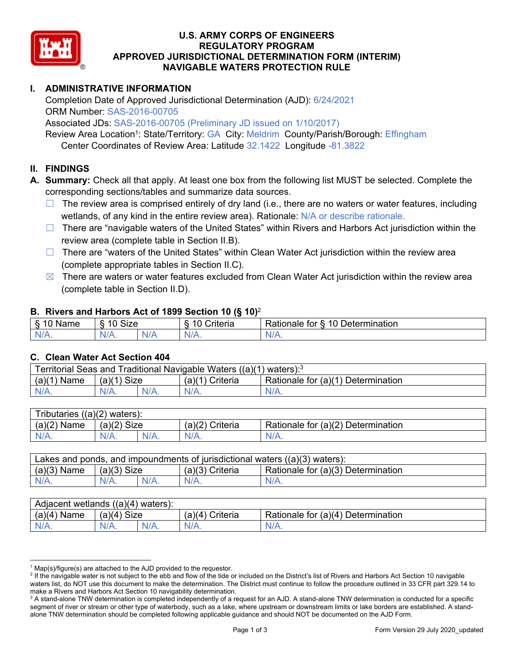

# **U.S. ARMY CORPS OF ENGINEERS REGULATORY PROGRAM APPROVED JURISDICTIONAL DETERMINATION FORM (INTERIM) NAVIGABLE WATERS PROTECTION RULE**

## **I. ADMINISTRATIVE INFORMATION**

 Completion Date of Approved Jurisdictional Determination (AJD): 6/24/2021 ORM Number: SAS-2016-00705

Associated JDs: SAS-2016-00705 (Preliminary JD issued on 1/10/2017)

Review Area Location<sup>1</sup>: State/Territory: GA City: Meldrim County/Parish/Borough: Effingham Center Coordinates of Review Area: Latitude 32.1422 Longitude -81.3822

### **II. FINDINGS**

**A. Summary:** Check all that apply. At least one box from the following list MUST be selected. Complete the corresponding sections/tables and summarize data sources.

- □ The review area is comprised entirely of dry land (i.e., there are no waters or water features, including wetlands, of any kind in the entire review area). Rationale: N/A or describe rationale.
- □ There are "navigable waters of the United States" within Rivers and Harbors Act jurisdiction within the review area (complete table in Section II.B).
- □ There are "waters of the United States" within Clean Water Act jurisdiction within the review area (complete appropriate tables in Section II.C).
- $\boxtimes$  There are waters or water features excluded from Clean Water Act jurisdiction within the review area (complete table in Section II.D).

#### **B. Rivers and Harbors Act of 1899 Section 10 (§ 10)**<sup>2</sup>

| $\sqrt{2}$<br>ıme<br>Ø.<br> | 10<br><b>Size</b><br>U |     | $\sim$<br>. .<br>-<br>:riteria<br>ונסוום | -<br>10<br>-<br>Determination<br>tor<br>≺atıonale |
|-----------------------------|------------------------|-----|------------------------------------------|---------------------------------------------------|
| N/L                         |                        | NZ. | w                                        | м.<br>$\mathbf{v}$                                |

#### **C. Clean Water Act Section 404**

| Territorial Seas and Traditional Navigable Waters $((a)(1)$ waters): <sup>3</sup> |               |  |                   |                                    |  |
|-----------------------------------------------------------------------------------|---------------|--|-------------------|------------------------------------|--|
| (a)(1)<br>` Name                                                                  | $(a)(1)$ Size |  | $(a)(1)$ Criteria | Rationale for (a)(1) Determination |  |
| N/A.                                                                              | $N/A$ .       |  | $N/A$ .           | $N/A$ .                            |  |
|                                                                                   |               |  |                   |                                    |  |

| Tributaries $((a)(2)$ waters): |               |         |                 |                                    |  |  |
|--------------------------------|---------------|---------|-----------------|------------------------------------|--|--|
| $(a)(2)$ Name                  | $(a)(2)$ Size |         | (a)(2) Criteria | Rationale for (a)(2) Determination |  |  |
| $N/A$ .                        | $N/A$ .       | $N/A$ . | $N/A$ .         | $N/A$ .                            |  |  |
|                                |               |         |                 |                                    |  |  |

| $(a)(3)$ Name<br>Rationale for (a)(3) Determination<br>$(a)(3)$ Size<br>(a)(3) Criteria | Lakes and ponds, and impoundments of jurisdictional waters $((a)(3)$ waters): |  |  |  |  |  |
|-----------------------------------------------------------------------------------------|-------------------------------------------------------------------------------|--|--|--|--|--|
|                                                                                         |                                                                               |  |  |  |  |  |
| $N/A$ .<br>$N/A$ .<br>$N/A$ .<br>$N/A$ .<br>$N/A$ .                                     |                                                                               |  |  |  |  |  |

| Adjacent wetlands $((a)(4)$ waters): |                |         |                   |                                    |  |
|--------------------------------------|----------------|---------|-------------------|------------------------------------|--|
| $(a)(4)$ Name                        | Size<br>(a)(4) |         | $(a)(4)$ Criteria | Rationale for (a)(4) Determination |  |
| N/A.                                 |                | $N/A$ . |                   | $N/A$ .                            |  |
|                                      |                |         |                   |                                    |  |

 $1$  Map(s)/figure(s) are attached to the AJD provided to the requestor.

<sup>&</sup>lt;sup>2</sup> If the navigable water is not subject to the ebb and flow of the tide or included on the District's list of Rivers and Harbors Act Section 10 navigable waters list, do NOT use this document to make the determination. The District must continue to follow the procedure outlined in 33 CFR part 329.14 to make a Rivers and Harbors Act Section 10 navigability determination.

 $^3$  A stand-alone TNW determination is completed independently of a request for an AJD. A stand-alone TNW determination is conducted for a specific segment of river or stream or other type of waterbody, such as a lake, where upstream or downstream limits or lake borders are established. A standalone TNW determination should be completed following applicable guidance and should NOT be documented on the AJD Form.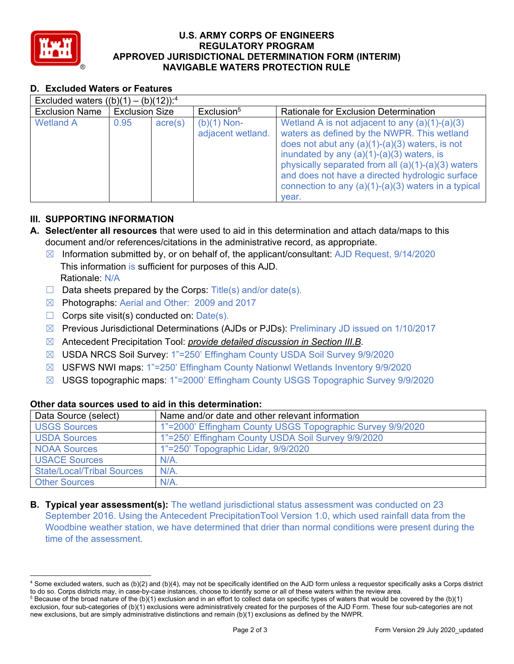

# **U.S. ARMY CORPS OF ENGINEERS REGULATORY PROGRAM APPROVED JURISDICTIONAL DETERMINATION FORM (INTERIM) NAVIGABLE WATERS PROTECTION RULE**

## **D. Excluded Waters or Features**

| Excluded waters $((b)(1) - (b)(12))$ : <sup>4</sup> |                       |                  |                                    |                                                                                                                                                                                                                                                                                                                                                                                 |  |  |
|-----------------------------------------------------|-----------------------|------------------|------------------------------------|---------------------------------------------------------------------------------------------------------------------------------------------------------------------------------------------------------------------------------------------------------------------------------------------------------------------------------------------------------------------------------|--|--|
| <b>Exclusion Name</b>                               | <b>Exclusion Size</b> |                  | Exclusion <sup>5</sup>             | Rationale for Exclusion Determination                                                                                                                                                                                                                                                                                                                                           |  |  |
| <b>Wetland A</b>                                    | 0.95                  | $\text{acre}(s)$ | $(b)(1)$ Non-<br>adjacent wetland. | Wetland A is not adjacent to any $(a)(1)-(a)(3)$<br>waters as defined by the NWPR. This wetland<br>does not abut any $(a)(1)-(a)(3)$ waters, is not<br>inundated by any $(a)(1)-(a)(3)$ waters, is<br>physically separated from all $(a)(1)-(a)(3)$ waters<br>and does not have a directed hydrologic surface<br>connection to any $(a)(1)-(a)(3)$ waters in a typical<br>vear. |  |  |

### **III. SUPPORTING INFORMATION**

- **A. Select/enter all resources** that were used to aid in this determination and attach data/maps to this document and/or references/citations in the administrative record, as appropriate.
	- ☒ Information submitted by, or on behalf of, the applicant/consultant: AJD Request, 9/14/2020 Rationale: N/A This information is sufficient for purposes of this AJD.
	- $\Box$  Data sheets prepared by the Corps: Title(s) and/or date(s).
	- ☒ Photographs: Aerial and Other: 2009 and 2017
	- $\Box$  Corps site visit(s) conducted on:  $Date(s)$ .
	- ☒ Previous Jurisdictional Determinations (AJDs or PJDs): Preliminary JD issued on 1/10/2017
	- ☒ Antecedent Precipitation Tool: *provide detailed discussion in Section III.B*.
	- ☒ USDA NRCS Soil Survey: 1"=250' Effingham County USDA Soil Survey 9/9/2020
	- ☒ USFWS NWI maps: 1"=250' Effingham County Nationwl Wetlands Inventory 9/9/2020
	- ☒ USGS topographic maps: 1"=2000' Effingham County USGS Topographic Survey 9/9/2020

| Data Source (select)              | Name and/or date and other relevant information            |
|-----------------------------------|------------------------------------------------------------|
| <b>USGS Sources</b>               | 1"=2000' Effingham County USGS Topographic Survey 9/9/2020 |
| <b>USDA Sources</b>               | 1"=250' Effingham County USDA Soil Survey 9/9/2020         |
| <b>NOAA Sources</b>               | 1"=250' Topographic Lidar, 9/9/2020                        |
| <b>USACE Sources</b>              | $N/A$ .                                                    |
| <b>State/Local/Tribal Sources</b> | $N/A$ .                                                    |
| <b>Other Sources</b>              | N/A                                                        |

### **Other data sources used to aid in this determination:**

**B. Typical year assessment(s):** The wetland jurisdictional status assessment was conducted on 23 September 2016. Using the Antecedent PrecipitationTool Version 1.0, which used rainfall data from the Woodbine weather station, we have determined that drier than normal conditions were present during the time of the assessment.

 $^4$  Some excluded waters, such as (b)(2) and (b)(4), may not be specifically identified on the AJD form unless a requestor specifically asks a Corps district to do so. Corps districts may, in case-by-case instances, choose to identify some or all of these waters within the review area.

 $^5$  Because of the broad nature of the (b)(1) exclusion and in an effort to collect data on specific types of waters that would be covered by the (b)(1) exclusion, four sub-categories of (b)(1) exclusions were administratively created for the purposes of the AJD Form. These four sub-categories are not new exclusions, but are simply administrative distinctions and remain (b)(1) exclusions as defined by the NWPR.